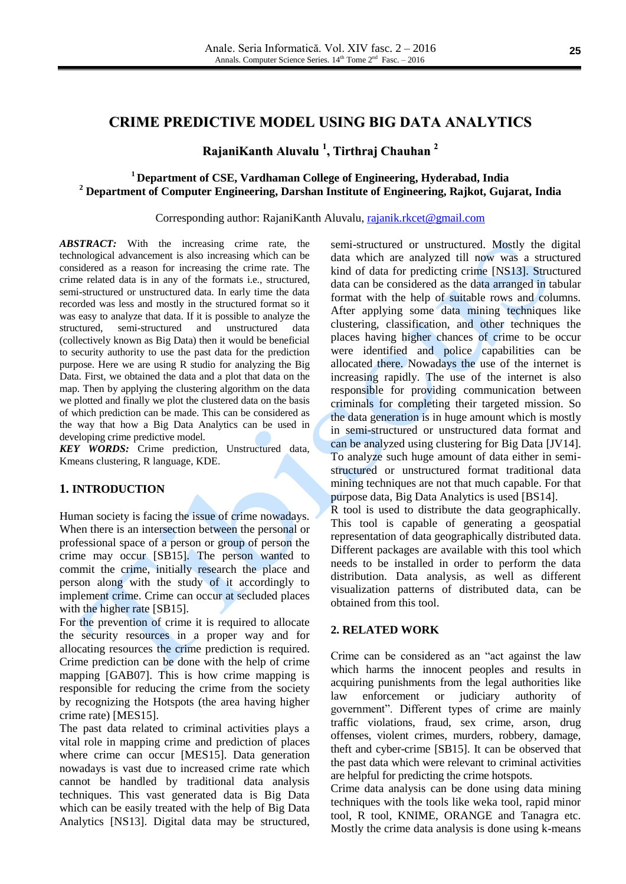# **CRIME PREDICTIVE MODEL USING BIG DATA ANALYTICS**

# **RajaniKanth Aluvalu 1 , Tirthraj Chauhan 2**

## **<sup>1</sup> Department of CSE, Vardhaman College of Engineering, Hyderabad, India <sup>2</sup> Department of Computer Engineering, Darshan Institute of Engineering, Rajkot, Gujarat, India**

#### Corresponding author: RajaniKanth Aluvalu, [rajanik.rkcet@gmail.com](mailto:rajanik.rkcet@gmail.com)

*ABSTRACT:* With the increasing crime rate, the technological advancement is also increasing which can be considered as a reason for increasing the crime rate. The crime related data is in any of the formats i.e., structured, semi-structured or unstructured data. In early time the data recorded was less and mostly in the structured format so it was easy to analyze that data. If it is possible to analyze the structured, semi-structured and unstructured data (collectively known as Big Data) then it would be beneficial to security authority to use the past data for the prediction purpose. Here we are using R studio for analyzing the Big Data. First, we obtained the data and a plot that data on the map. Then by applying the clustering algorithm on the data we plotted and finally we plot the clustered data on the basis of which prediction can be made. This can be considered as the way that how a Big Data Analytics can be used in developing crime predictive model.

*KEY WORDS:* Crime prediction, Unstructured data, Kmeans clustering, R language, KDE.

## **1. INTRODUCTION**

Human society is facing the issue of crime nowadays. When there is an intersection between the personal or professional space of a person or group of person the crime may occur [SB15]. The person wanted to commit the crime, initially research the place and person along with the study of it accordingly to implement crime. Crime can occur at secluded places with the higher rate [SB15].

For the prevention of crime it is required to allocate the security resources in a proper way and for allocating resources the crime prediction is required. Crime prediction can be done with the help of crime mapping [GAB07]. This is how crime mapping is responsible for reducing the crime from the society by recognizing the Hotspots (the area having higher crime rate) [MES15].

The past data related to criminal activities plays a vital role in mapping crime and prediction of places where crime can occur [MES15]. Data generation nowadays is vast due to increased crime rate which cannot be handled by traditional data analysis techniques. This vast generated data is Big Data which can be easily treated with the help of Big Data Analytics [NS13]. Digital data may be structured, semi-structured or unstructured. Mostly the digital data which are analyzed till now was a structured kind of data for predicting crime [NS13]. Structured data can be considered as the data arranged in tabular format with the help of suitable rows and columns. After applying some data mining techniques like clustering, classification, and other techniques the places having higher chances of crime to be occur were identified and police capabilities can be allocated there. Nowadays the use of the internet is increasing rapidly. The use of the internet is also responsible for providing communication between criminals for completing their targeted mission. So the data generation is in huge amount which is mostly in semi-structured or unstructured data format and can be analyzed using clustering for Big Data [JV14]. To analyze such huge amount of data either in semistructured or unstructured format traditional data mining techniques are not that much capable. For that purpose data, Big Data Analytics is used [BS14].

R tool is used to distribute the data geographically. This tool is capable of generating a geospatial representation of data geographically distributed data. Different packages are available with this tool which needs to be installed in order to perform the data distribution. Data analysis, as well as different visualization patterns of distributed data, can be obtained from this tool.

#### **2. RELATED WORK**

Crime can be considered as an "act against the law which harms the innocent peoples and results in acquiring punishments from the legal authorities like law enforcement or judiciary authority of government". Different types of crime are mainly traffic violations, fraud, sex crime, arson, drug offenses, violent crimes, murders, robbery, damage, theft and cyber-crime [SB15]. It can be observed that the past data which were relevant to criminal activities are helpful for predicting the crime hotspots.

Crime data analysis can be done using data mining techniques with the tools like weka tool, rapid minor tool, R tool, KNIME, ORANGE and Tanagra etc. Mostly the crime data analysis is done using k-means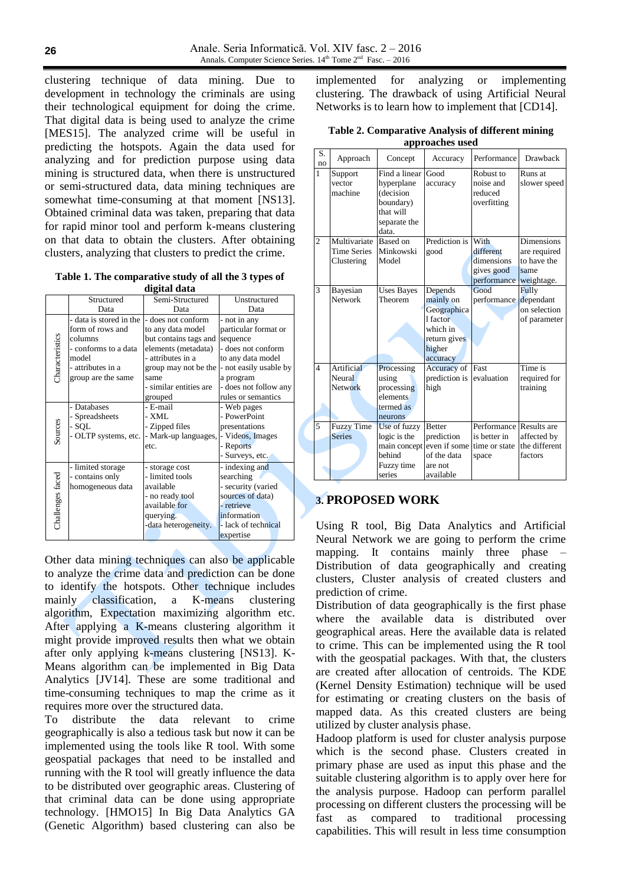clustering technique of data mining. Due to development in technology the criminals are using their technological equipment for doing the crime. That digital data is being used to analyze the crime [MES15]. The analyzed crime will be useful in predicting the hotspots. Again the data used for analyzing and for prediction purpose using data mining is structured data, when there is unstructured or semi-structured data, data mining techniques are somewhat time-consuming at that moment [NS13]. Obtained criminal data was taken, preparing that data for rapid minor tool and perform k-means clustering on that data to obtain the clusters. After obtaining clusters, analyzing that clusters to predict the crime.

**Table 1. The comparative study of all the 3 types of digital data**

| uigital uata     |                         |                        |                        |  |  |  |  |  |
|------------------|-------------------------|------------------------|------------------------|--|--|--|--|--|
|                  | Structured              | Semi-Structured        | Unstructured           |  |  |  |  |  |
|                  | Data                    | Data                   | Data                   |  |  |  |  |  |
|                  | - data is stored in the | - does not conform     | - not in any           |  |  |  |  |  |
| Characteristics  | form of rows and        | to any data model      | particular format or   |  |  |  |  |  |
|                  | columns                 | but contains tags and  | sequence               |  |  |  |  |  |
|                  | - conforms to a data    | elements (metadata)    | - does not conform     |  |  |  |  |  |
|                  | model                   | - attributes in a      | to any data model      |  |  |  |  |  |
|                  | - attributes in a       | group may not be the   | - not easily usable by |  |  |  |  |  |
|                  | group are the same      | same                   | a program              |  |  |  |  |  |
|                  |                         | - similar entities are | - does not follow any  |  |  |  |  |  |
|                  |                         | grouped                | rules or semantics     |  |  |  |  |  |
| Sources          | - Databases             | - E-mail               | - Web pages            |  |  |  |  |  |
|                  | Spreadsheets            | - XML                  | - PowerPoint           |  |  |  |  |  |
|                  | - SQL                   | - Zipped files         | presentations          |  |  |  |  |  |
|                  | - OLTP systems, etc.    | - Mark-up languages,   | - Videos, Images       |  |  |  |  |  |
|                  |                         | etc.                   | - Reports              |  |  |  |  |  |
|                  |                         |                        | - Surveys, etc.        |  |  |  |  |  |
|                  | - limited storage       | - storage cost         | - indexing and         |  |  |  |  |  |
|                  | - contains only         | - limited tools        | searching              |  |  |  |  |  |
| Challenges faced | homogeneous data        | available              | - security (varied     |  |  |  |  |  |
|                  |                         | - no ready tool        | sources of data)       |  |  |  |  |  |
|                  |                         | available for          | - retrieve             |  |  |  |  |  |
|                  |                         | querying.              | information            |  |  |  |  |  |
|                  |                         | -data heterogeneity.   | - lack of technical    |  |  |  |  |  |
|                  |                         |                        | expertise              |  |  |  |  |  |

Other data mining techniques can also be applicable to analyze the crime data and prediction can be done to identify the hotspots. Other technique includes mainly classification, a K-means clustering algorithm, Expectation maximizing algorithm etc. After applying a K-means clustering algorithm it might provide improved results then what we obtain after only applying k-means clustering [NS13]. K-Means algorithm can be implemented in Big Data Analytics [JV14]. These are some traditional and time-consuming techniques to map the crime as it requires more over the structured data.

To distribute the data relevant to crime geographically is also a tedious task but now it can be implemented using the tools like R tool. With some geospatial packages that need to be installed and running with the R tool will greatly influence the data to be distributed over geographic areas. Clustering of that criminal data can be done using appropriate technology. [HMO15] In Big Data Analytics GA (Genetic Algorithm) based clustering can also be implemented for analyzing or implementing clustering. The drawback of using Artificial Neural Networks is to learn how to implement that [CD14].

| Table 2. Comparative Analysis of different mining |
|---------------------------------------------------|
| approaches used                                   |

| approaches useu          |                                                           |                                                                                             |                                                                                                   |                                                              |                                                                        |  |  |
|--------------------------|-----------------------------------------------------------|---------------------------------------------------------------------------------------------|---------------------------------------------------------------------------------------------------|--------------------------------------------------------------|------------------------------------------------------------------------|--|--|
| S.<br>no                 | Approach                                                  | Concept                                                                                     | Accuracy                                                                                          | Performance                                                  | Drawback                                                               |  |  |
| $\mathbf{1}$             | Support<br>vector<br>machine                              | Find a linear<br>hyperplane<br>(decision<br>boundary)<br>that will<br>separate the<br>data. | Good<br>accuracy                                                                                  | Robust to<br>noise and<br>reduced<br>overfitting             | Runs at<br>slower speed                                                |  |  |
| $\overline{c}$           | Multivariate Based on<br><b>Time Series</b><br>Clustering | Minkowski<br>Model                                                                          | Prediction is<br>good                                                                             | With<br>different<br>dimensions<br>gives good<br>performance | <b>Dimensions</b><br>are required<br>to have the<br>same<br>weightage. |  |  |
| 3                        | Bayesian<br>Network                                       | <b>Uses Bayes</b><br>Theorem                                                                | Depends<br>mainly on<br>Geographica<br>1 factor<br>which in<br>return gives<br>higher<br>accuracy | Good<br>performance                                          | Fully<br>dependant<br>on selection<br>of parameter                     |  |  |
| $\overline{\mathcal{L}}$ | Artificial<br>Neural<br><b>Network</b>                    | Processing<br>using<br>processing<br>elements<br>termed as<br>neurons                       | Accuracy of<br>prediction is<br>high                                                              | Fast<br>evaluation                                           | Time is<br>required for<br>training                                    |  |  |
| 5                        | <b>Fuzzy Time</b><br><b>Series</b>                        | Use of fuzzy<br>logic is the<br>main concept<br>behind<br>Fuzzy time<br>series              | <b>Better</b><br>prediction<br>even if some<br>of the data<br>are not<br>available                | Performance<br>is better in<br>time or state<br>space        | Results are<br>affected by<br>the different<br>factors                 |  |  |

## **3. PROPOSED WORK**

Using R tool, Big Data Analytics and Artificial Neural Network we are going to perform the crime mapping. It contains mainly three phase – Distribution of data geographically and creating clusters, Cluster analysis of created clusters and prediction of crime.

Distribution of data geographically is the first phase where the available data is distributed over geographical areas. Here the available data is related to crime. This can be implemented using the R tool with the geospatial packages. With that, the clusters are created after allocation of centroids. The KDE (Kernel Density Estimation) technique will be used for estimating or creating clusters on the basis of mapped data. As this created clusters are being utilized by cluster analysis phase.

Hadoop platform is used for cluster analysis purpose which is the second phase. Clusters created in primary phase are used as input this phase and the suitable clustering algorithm is to apply over here for the analysis purpose. Hadoop can perform parallel processing on different clusters the processing will be fast as compared to traditional processing capabilities. This will result in less time consumption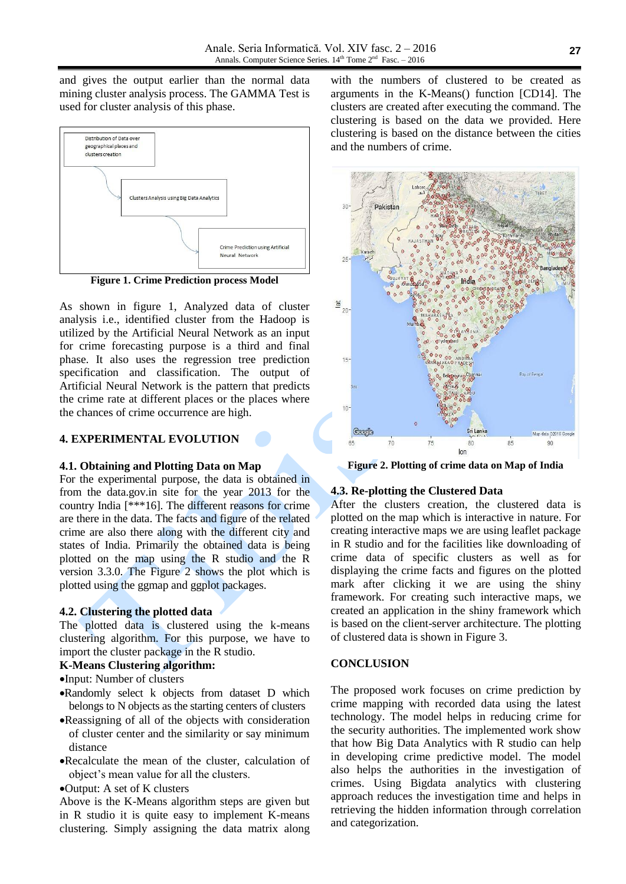and gives the output earlier than the normal data mining cluster analysis process. The GAMMA Test is used for cluster analysis of this phase.



**Figure 1. Crime Prediction process Model**

As shown in figure 1, Analyzed data of cluster analysis i.e., identified cluster from the Hadoop is utilized by the Artificial Neural Network as an input for crime forecasting purpose is a third and final phase. It also uses the regression tree prediction specification and classification. The output of Artificial Neural Network is the pattern that predicts the crime rate at different places or the places where the chances of crime occurrence are high.

### **4. EXPERIMENTAL EVOLUTION**

#### **4.1. Obtaining and Plotting Data on Map**

For the experimental purpose, the data is obtained in from the data.gov.in site for the year 2013 for the country India [\*\*\*16]. The different reasons for crime are there in the data. The facts and figure of the related crime are also there along with the different city and states of India. Primarily the obtained data is being plotted on the map using the R studio and the R version 3.3.0. The Figure 2 shows the plot which is plotted using the ggmap and ggplot packages.

## **4.2. Clustering the plotted data**

The plotted data is clustered using the k-means clustering algorithm. For this purpose, we have to import the cluster package in the R studio.

#### **K-Means Clustering algorithm:**

- •Input: Number of clusters
- Randomly select k objects from dataset D which belongs to N objects as the starting centers of clusters
- Reassigning of all of the objects with consideration of cluster center and the similarity or say minimum distance
- Recalculate the mean of the cluster, calculation of object's mean value for all the clusters.
- Output: A set of K clusters

Above is the K-Means algorithm steps are given but in R studio it is quite easy to implement K-means clustering. Simply assigning the data matrix along

with the numbers of clustered to be created as arguments in the K-Means() function [CD14]. The clusters are created after executing the command. The clustering is based on the data we provided. Here clustering is based on the distance between the cities and the numbers of crime.



**Figure 2. Plotting of crime data on Map of India**

### **4.3. Re-plotting the Clustered Data**

After the clusters creation, the clustered data is plotted on the map which is interactive in nature. For creating interactive maps we are using leaflet package in R studio and for the facilities like downloading of crime data of specific clusters as well as for displaying the crime facts and figures on the plotted mark after clicking it we are using the shiny framework. For creating such interactive maps, we created an application in the shiny framework which is based on the client-server architecture. The plotting of clustered data is shown in Figure 3.

### **CONCLUSION**

The proposed work focuses on crime prediction by crime mapping with recorded data using the latest technology. The model helps in reducing crime for the security authorities. The implemented work show that how Big Data Analytics with R studio can help in developing crime predictive model. The model also helps the authorities in the investigation of crimes. Using Bigdata analytics with clustering approach reduces the investigation time and helps in retrieving the hidden information through correlation and categorization.